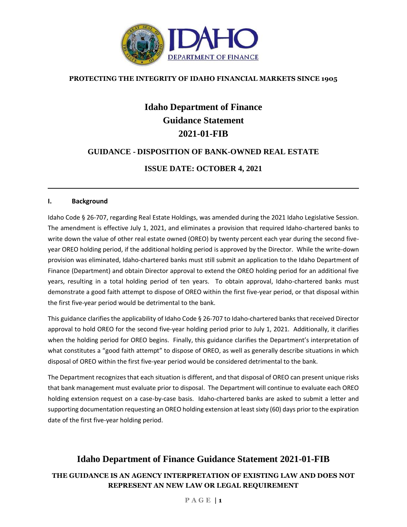

## **PROTECTING THE INTEGRITY OF IDAHO FINANCIAL MARKETS SINCE 1905**

# **Idaho Department of Finance Guidance Statement 2021-01-FIB**

## **GUIDANCE - DISPOSITION OF BANK-OWNED REAL ESTATE**

## **ISSUE DATE: OCTOBER 4, 2021**

#### **I. Background**

Idaho Code § 26-707, regarding Real Estate Holdings, was amended during the 2021 Idaho Legislative Session. The amendment is effective July 1, 2021, and eliminates a provision that required Idaho-chartered banks to write down the value of other real estate owned (OREO) by twenty percent each year during the second fiveyear OREO holding period, if the additional holding period is approved by the Director. While the write-down provision was eliminated, Idaho-chartered banks must still submit an application to the Idaho Department of Finance (Department) and obtain Director approval to extend the OREO holding period for an additional five years, resulting in a total holding period of ten years. To obtain approval, Idaho-chartered banks must demonstrate a good faith attempt to dispose of OREO within the first five-year period, or that disposal within the first five-year period would be detrimental to the bank.

This guidance clarifies the applicability of Idaho Code § 26-707 to Idaho-chartered banks that received Director approval to hold OREO for the second five-year holding period prior to July 1, 2021. Additionally, it clarifies when the holding period for OREO begins. Finally, this guidance clarifies the Department's interpretation of what constitutes a "good faith attempt" to dispose of OREO, as well as generally describe situations in which disposal of OREO within the first five-year period would be considered detrimental to the bank.

The Department recognizes that each situation is different, and that disposal of OREO can present unique risks that bank management must evaluate prior to disposal. The Department will continue to evaluate each OREO holding extension request on a case-by-case basis. Idaho-chartered banks are asked to submit a letter and supporting documentation requesting an OREO holding extension at least sixty (60) days prior to the expiration date of the first five-year holding period.

## **Idaho Department of Finance Guidance Statement 2021-01-FIB**

## **THE GUIDANCE IS AN AGENCY INTERPRETATION OF EXISTING LAW AND DOES NOT REPRESENT AN NEW LAW OR LEGAL REQUIREMENT**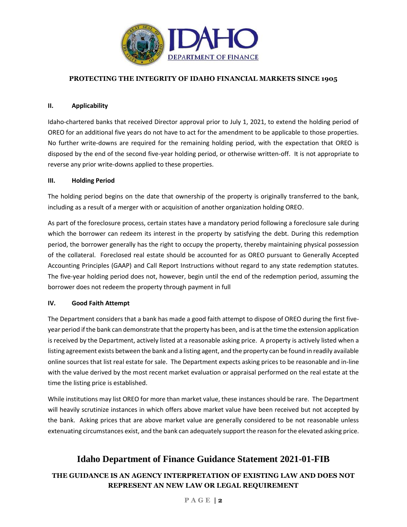

### **PROTECTING THE INTEGRITY OF IDAHO FINANCIAL MARKETS SINCE 1905**

#### **II. Applicability**

Idaho-chartered banks that received Director approval prior to July 1, 2021, to extend the holding period of OREO for an additional five years do not have to act for the amendment to be applicable to those properties. No further write-downs are required for the remaining holding period, with the expectation that OREO is disposed by the end of the second five-year holding period, or otherwise written-off. It is not appropriate to reverse any prior write-downs applied to these properties.

#### **III. Holding Period**

The holding period begins on the date that ownership of the property is originally transferred to the bank, including as a result of a merger with or acquisition of another organization holding OREO.

As part of the foreclosure process, certain states have a mandatory period following a foreclosure sale during which the borrower can redeem its interest in the property by satisfying the debt. During this redemption period, the borrower generally has the right to occupy the property, thereby maintaining physical possession of the collateral. Foreclosed real estate should be accounted for as OREO pursuant to Generally Accepted Accounting Principles (GAAP) and Call Report Instructions without regard to any state redemption statutes. The five-year holding period does not, however, begin until the end of the redemption period, assuming the borrower does not redeem the property through payment in full

#### **IV. Good Faith Attempt**

The Department considers that a bank has made a good faith attempt to dispose of OREO during the first fiveyear period if the bank can demonstrate that the property has been, and is at the time the extension application is received by the Department, actively listed at a reasonable asking price. A property is actively listed when a listing agreement exists between the bank and a listing agent, and the property can be found in readily available online sources that list real estate for sale. The Department expects asking prices to be reasonable and in-line with the value derived by the most recent market evaluation or appraisal performed on the real estate at the time the listing price is established.

While institutions may list OREO for more than market value, these instances should be rare. The Department will heavily scrutinize instances in which offers above market value have been received but not accepted by the bank. Asking prices that are above market value are generally considered to be not reasonable unless extenuating circumstances exist, and the bank can adequately support the reason for the elevated asking price.

## **Idaho Department of Finance Guidance Statement 2021-01-FIB**

## **THE GUIDANCE IS AN AGENCY INTERPRETATION OF EXISTING LAW AND DOES NOT REPRESENT AN NEW LAW OR LEGAL REQUIREMENT**